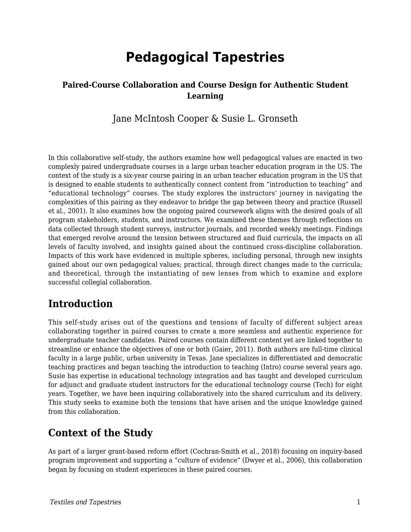# **Pedagogical Tapestries**

### **Paired-Course Collaboration and Course Design for Authentic Student Learning**

Jane McIntosh Cooper & Susie L. Gronseth

In this collaborative self-study, the authors examine how well pedagogical values are enacted in two complexly paired undergraduate courses in a large urban teacher education program in the US. The context of the study is a six-year course pairing in an urban teacher education program in the US that is designed to enable students to authentically connect content from "introduction to teaching" and "educational technology" courses. The study explores the instructors' journey in navigating the complexities of this pairing as they endeavor to bridge the gap between theory and practice (Russell et al., 2001). It also examines how the ongoing paired coursework aligns with the desired goals of all program stakeholders, students, and instructors. We examined these themes through reflections on data collected through student surveys, instructor journals, and recorded weekly meetings. Findings that emerged revolve around the tension between structured and fluid curricula, the impacts on all levels of faculty involved, and insights gained about the continued cross-discipline collaboration. Impacts of this work have evidenced in multiple spheres, including personal, through new insights gained about our own pedagogical values; practical, through direct changes made to the curricula; and theoretical, through the instantiating of new lenses from which to examine and explore successful collegial collaboration.

# **Introduction**

This self-study arises out of the questions and tensions of faculty of different subject areas collaborating together in paired courses to create a more seamless and authentic experience for undergraduate teacher candidates. Paired courses contain different content yet are linked together to streamline or enhance the objectives of one or both (Gaier, 2011). Both authors are full-time clinical faculty in a large public, urban university in Texas. Jane specializes in differentiated and democratic teaching practices and began teaching the introduction to teaching (Intro) course several years ago. Susie has expertise in educational technology integration and has taught and developed curriculum for adjunct and graduate student instructors for the educational technology course (Tech) for eight years. Together, we have been inquiring collaboratively into the shared curriculum and its delivery. This study seeks to examine both the tensions that have arisen and the unique knowledge gained from this collaboration.

# **Context of the Study**

As part of a larger grant-based reform effort (Cochran-Smith et al., 2018) focusing on inquiry-based program improvement and supporting a "culture of evidence" (Dwyer et al., 2006), this collaboration began by focusing on student experiences in these paired courses.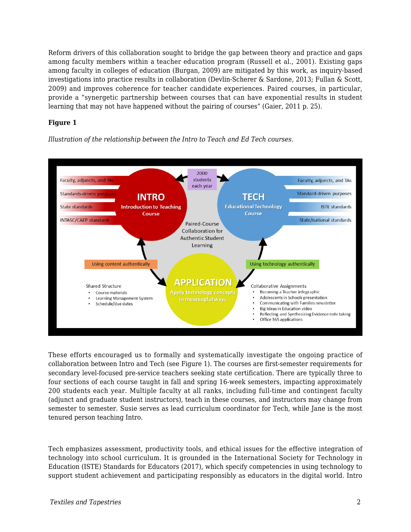Reform drivers of this collaboration sought to bridge the gap between theory and practice and gaps among faculty members within a teacher education program (Russell et al., 2001). Existing gaps among faculty in colleges of education (Burgan, 2009) are mitigated by this work, as inquiry-based investigations into practice results in collaboration (Devlin-Scherer & Sardone, 2013; Fullan & Scott, 2009) and improves coherence for teacher candidate experiences. Paired courses, in particular, provide a "synergetic partnership between courses that can have exponential results in student learning that may not have happened without the pairing of courses" (Gaier, 2011 p. 25).

#### **Figure 1**

*Illustration of the relationship between the Intro to Teach and Ed Tech courses.*



These efforts encouraged us to formally and systematically investigate the ongoing practice of collaboration between Intro and Tech (see Figure 1). The courses are first-semester requirements for secondary level-focused pre-service teachers seeking state certification. There are typically three to four sections of each course taught in fall and spring 16-week semesters, impacting approximately 200 students each year. Multiple faculty at all ranks, including full-time and contingent faculty (adjunct and graduate student instructors), teach in these courses, and instructors may change from semester to semester. Susie serves as lead curriculum coordinator for Tech, while Jane is the most tenured person teaching Intro.

Tech emphasizes assessment, productivity tools, and ethical issues for the effective integration of technology into school curriculum. It is grounded in the International Society for Technology in Education (ISTE) Standards for Educators (2017), which specify competencies in using technology to support student achievement and participating responsibly as educators in the digital world. Intro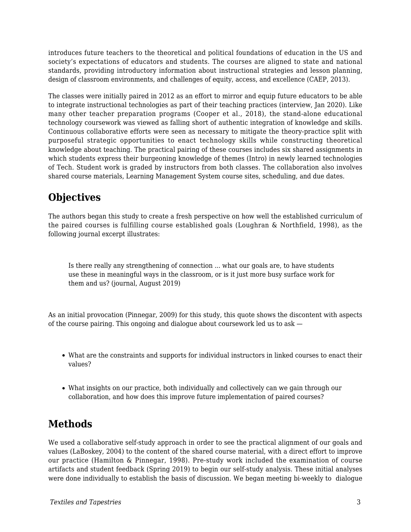introduces future teachers to the theoretical and political foundations of education in the US and society's expectations of educators and students. The courses are aligned to state and national standards, providing introductory information about instructional strategies and lesson planning, design of classroom environments, and challenges of equity, access, and excellence (CAEP, 2013).

The classes were initially paired in 2012 as an effort to mirror and equip future educators to be able to integrate instructional technologies as part of their teaching practices (interview, Jan 2020). Like many other teacher preparation programs (Cooper et al., 2018), the stand-alone educational technology coursework was viewed as falling short of authentic integration of knowledge and skills. Continuous collaborative efforts were seen as necessary to mitigate the theory-practice split with purposeful strategic opportunities to enact technology skills while constructing theoretical knowledge about teaching. The practical pairing of these courses includes six shared assignments in which students express their burgeoning knowledge of themes (Intro) in newly learned technologies of Tech. Student work is graded by instructors from both classes. The collaboration also involves shared course materials, Learning Management System course sites, scheduling, and due dates.

# **Objectives**

The authors began this study to create a fresh perspective on how well the established curriculum of the paired courses is fulfilling course established goals (Loughran & Northfield, 1998), as the following journal excerpt illustrates:

Is there really any strengthening of connection ... what our goals are, to have students use these in meaningful ways in the classroom, or is it just more busy surface work for them and us? (journal, August 2019)

As an initial provocation (Pinnegar, 2009) for this study, this quote shows the discontent with aspects of the course pairing. This ongoing and dialogue about coursework led us to ask —

- What are the constraints and supports for individual instructors in linked courses to enact their values?
- What insights on our practice, both individually and collectively can we gain through our collaboration, and how does this improve future implementation of paired courses?

# **Methods**

We used a collaborative self-study approach in order to see the practical alignment of our goals and values (LaBoskey, 2004) to the content of the shared course material, with a direct effort to improve our practice (Hamilton & Pinnegar, 1998). Pre-study work included the examination of course artifacts and student feedback (Spring 2019) to begin our self-study analysis. These initial analyses were done individually to establish the basis of discussion. We began meeting bi-weekly to dialogue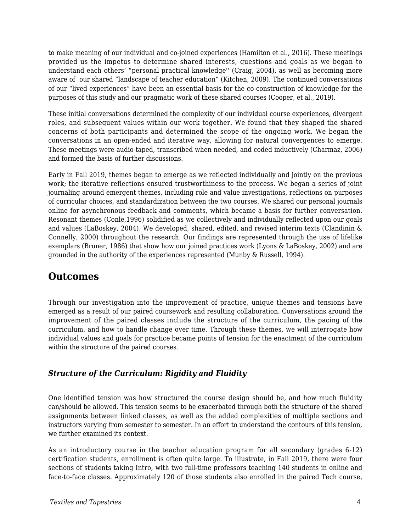to make meaning of our individual and co-joined experiences (Hamilton et al., 2016). These meetings provided us the impetus to determine shared interests, questions and goals as we began to understand each others' "personal practical knowledge'' (Craig, 2004), as well as becoming more aware of our shared "landscape of teacher education" (Kitchen, 2009). The continued conversations of our "lived experiences" have been an essential basis for the co-construction of knowledge for the purposes of this study and our pragmatic work of these shared courses (Cooper, et al., 2019).

These initial conversations determined the complexity of our individual course experiences, divergent roles, and subsequent values within our work together. We found that they shaped the shared concerns of both participants and determined the scope of the ongoing work. We began the conversations in an open-ended and iterative way, allowing for natural convergences to emerge. These meetings were audio-taped, transcribed when needed, and coded inductively (Charmaz, 2006) and formed the basis of further discussions.

Early in Fall 2019, themes began to emerge as we reflected individually and jointly on the previous work; the iterative reflections ensured trustworthiness to the process. We began a series of joint journaling around emergent themes, including role and value investigations, reflections on purposes of curricular choices, and standardization between the two courses. We shared our personal journals online for asynchronous feedback and comments, which became a basis for further conversation. Resonant themes (Conle,1996) solidified as we collectively and individually reflected upon our goals and values (LaBoskey, 2004). We developed, shared, edited, and revised interim texts (Clandinin & Connelly, 2000) throughout the research. Our findings are represented through the use of lifelike exemplars (Bruner, 1986) that show how our joined practices work (Lyons & LaBoskey, 2002) and are grounded in the authority of the experiences represented (Munby & Russell, 1994).

## **Outcomes**

Through our investigation into the improvement of practice, unique themes and tensions have emerged as a result of our paired coursework and resulting collaboration. Conversations around the improvement of the paired classes include the structure of the curriculum, the pacing of the curriculum, and how to handle change over time. Through these themes, we will interrogate how individual values and goals for practice became points of tension for the enactment of the curriculum within the structure of the paired courses.

#### *Structure of the Curriculum: Rigidity and Fluidity*

One identified tension was how structured the course design should be, and how much fluidity can/should be allowed. This tension seems to be exacerbated through both the structure of the shared assignments between linked classes, as well as the added complexities of multiple sections and instructors varying from semester to semester. In an effort to understand the contours of this tension, we further examined its context.

As an introductory course in the teacher education program for all secondary (grades 6-12) certification students, enrollment is often quite large. To illustrate, in Fall 2019, there were four sections of students taking Intro, with two full-time professors teaching 140 students in online and face-to-face classes. Approximately 120 of those students also enrolled in the paired Tech course,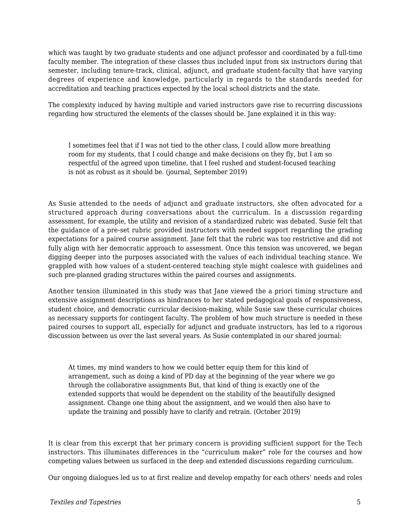which was taught by two graduate students and one adjunct professor and coordinated by a full-time faculty member. The integration of these classes thus included input from six instructors during that semester, including tenure-track, clinical, adjunct, and graduate student-faculty that have varying degrees of experience and knowledge, particularly in regards to the standards needed for accreditation and teaching practices expected by the local school districts and the state.

The complexity induced by having multiple and varied instructors gave rise to recurring discussions regarding how structured the elements of the classes should be. Jane explained it in this way:

I sometimes feel that if I was not tied to the other class, I could allow more breathing room for my students, that I could change and make decisions on they fly, but I am so respectful of the agreed upon timeline, that I feel rushed and student-focused teaching is not as robust as it should be. (journal, September 2019)

As Susie attended to the needs of adjunct and graduate instructors, she often advocated for a structured approach during conversations about the curriculum. In a discussion regarding assessment, for example, the utility and revision of a standardized rubric was debated. Susie felt that the guidance of a pre-set rubric provided instructors with needed support regarding the grading expectations for a paired course assignment. Jane felt that the rubric was too restrictive and did not fully align with her democratic approach to assessment. Once this tension was uncovered, we began digging deeper into the purposes associated with the values of each individual teaching stance. We grappled with how values of a student-centered teaching style might coalesce with guidelines and such pre-planned grading structures within the paired courses and assignments.

Another tension illuminated in this study was that Jane viewed the a priori timing structure and extensive assignment descriptions as hindrances to her stated pedagogical goals of responsiveness, student choice, and democratic curricular decision-making, while Susie saw these curricular choices as necessary supports for contingent faculty. The problem of how much structure is needed in these paired courses to support all, especially for adjunct and graduate instructors, has led to a rigorous discussion between us over the last several years. As Susie contemplated in our shared journal:

At times, my mind wanders to how we could better equip them for this kind of arrangement, such as doing a kind of PD day at the beginning of the year where we go through the collaborative assignments But, that kind of thing is exactly one of the extended supports that would be dependent on the stability of the beautifully designed assignment. Change one thing about the assignment, and we would then also have to update the training and possibly have to clarify and retrain. (October 2019)

It is clear from this excerpt that her primary concern is providing sufficient support for the Tech instructors. This illuminates differences in the "curriculum maker" role for the courses and how competing values between us surfaced in the deep and extended discussions regarding curriculum.

Our ongoing dialogues led us to at first realize and develop empathy for each others' needs and roles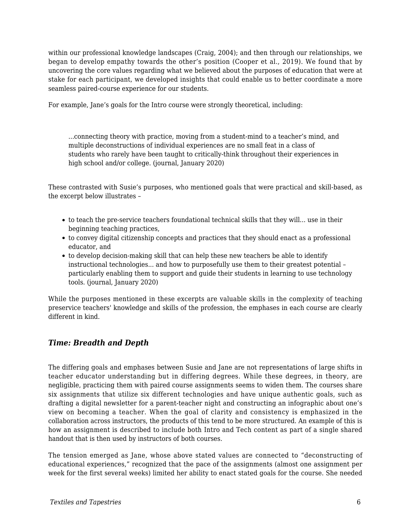within our professional knowledge landscapes (Craig, 2004); and then through our relationships, we began to develop empathy towards the other's position (Cooper et al., 2019). We found that by uncovering the core values regarding what we believed about the purposes of education that were at stake for each participant, we developed insights that could enable us to better coordinate a more seamless paired-course experience for our students.

For example, Jane's goals for the Intro course were strongly theoretical, including:

...connecting theory with practice, moving from a student-mind to a teacher's mind, and multiple deconstructions of individual experiences are no small feat in a class of students who rarely have been taught to critically-think throughout their experiences in high school and/or college. (journal, January 2020)

These contrasted with Susie's purposes, who mentioned goals that were practical and skill-based, as the excerpt below illustrates –

- to teach the pre-service teachers foundational technical skills that they will... use in their beginning teaching practices,
- to convey digital citizenship concepts and practices that they should enact as a professional educator, and
- to develop decision-making skill that can help these new teachers be able to identify instructional technologies... and how to purposefully use them to their greatest potential – particularly enabling them to support and guide their students in learning to use technology tools. (journal, January 2020)

While the purposes mentioned in these excerpts are valuable skills in the complexity of teaching preservice teachers' knowledge and skills of the profession, the emphases in each course are clearly different in kind.

### *Time: Breadth and Depth*

The differing goals and emphases between Susie and Jane are not representations of large shifts in teacher educator understanding but in differing degrees. While these degrees, in theory, are negligible, practicing them with paired course assignments seems to widen them. The courses share six assignments that utilize six different technologies and have unique authentic goals, such as drafting a digital newsletter for a parent-teacher night and constructing an infographic about one's view on becoming a teacher. When the goal of clarity and consistency is emphasized in the collaboration across instructors, the products of this tend to be more structured. An example of this is how an assignment is described to include both Intro and Tech content as part of a single shared handout that is then used by instructors of both courses.

The tension emerged as Jane, whose above stated values are connected to "deconstructing of educational experiences," recognized that the pace of the assignments (almost one assignment per week for the first several weeks) limited her ability to enact stated goals for the course. She needed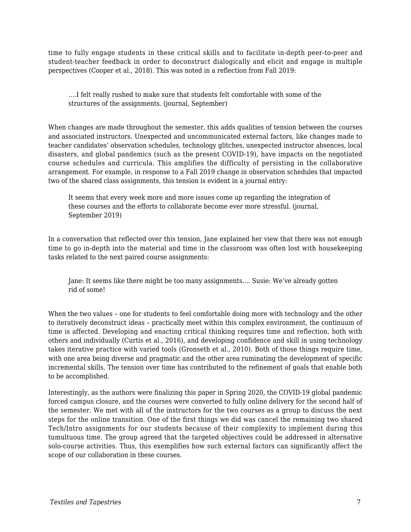time to fully engage students in these critical skills and to facilitate in-depth peer-to-peer and student-teacher feedback in order to deconstruct dialogically and elicit and engage in multiple perspectives (Cooper et al., 2018). This was noted in a reflection from Fall 2019:

….I felt really rushed to make sure that students felt comfortable with some of the structures of the assignments. (journal, September)

When changes are made throughout the semester, this adds qualities of tension between the courses and associated instructors. Unexpected and uncommunicated external factors, like changes made to teacher candidates' observation schedules, technology glitches, unexpected instructor absences, local disasters, and global pandemics (such as the present COVID-19), have impacts on the negotiated course schedules and curricula. This amplifies the difficulty of persisting in the collaborative arrangement. For example, in response to a Fall 2019 change in observation schedules that impacted two of the shared class assignments, this tension is evident in a journal entry:

It seems that every week more and more issues come up regarding the integration of these courses and the efforts to collaborate become ever more stressful. (journal, September 2019)

In a conversation that reflected over this tension, Jane explained her view that there was not enough time to go in-depth into the material and time in the classroom was often lost with housekeeping tasks related to the next paired course assignments:

Jane: It seems like there might be too many assignments…. Susie: We've already gotten rid of some!

When the two values – one for students to feel comfortable doing more with technology and the other to iteratively deconstruct ideas – practically meet within this complex environment, the continuum of time is affected. Developing and enacting critical thinking requires time and reflection, both with others and individually (Curtis et al., 2016), and developing confidence and skill in using technology takes iterative practice with varied tools (Gronseth et al., 2010). Both of those things require time, with one area being diverse and pragmatic and the other area ruminating the development of specific incremental skills. The tension over time has contributed to the refinement of goals that enable both to be accomplished.

Interestingly, as the authors were finalizing this paper in Spring 2020, the COVID-19 global pandemic forced campus closure, and the courses were converted to fully online delivery for the second half of the semester. We met with all of the instructors for the two courses as a group to discuss the next steps for the online transition. One of the first things we did was cancel the remaining two shared Tech/Intro assignments for our students because of their complexity to implement during this tumultuous time. The group agreed that the targeted objectives could be addressed in alternative solo-course activities. Thus, this exemplifies how such external factors can significantly affect the scope of our collaboration in these courses.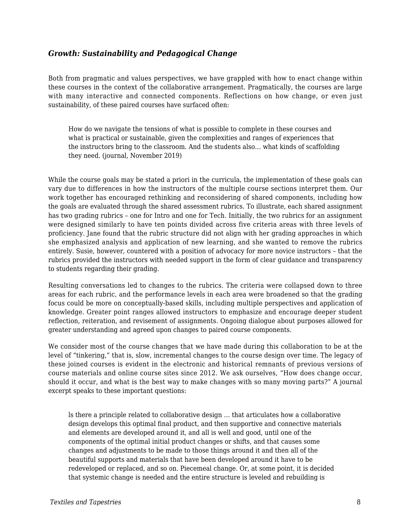#### *Growth: Sustainability and Pedagogical Change*

Both from pragmatic and values perspectives, we have grappled with how to enact change within these courses in the context of the collaborative arrangement. Pragmatically, the courses are large with many interactive and connected components. Reflections on how change, or even just sustainability, of these paired courses have surfaced often:

How do we navigate the tensions of what is possible to complete in these courses and what is practical or sustainable, given the complexities and ranges of experiences that the instructors bring to the classroom. And the students also… what kinds of scaffolding they need. (journal, November 2019)

While the course goals may be stated a priori in the curricula, the implementation of these goals can vary due to differences in how the instructors of the multiple course sections interpret them. Our work together has encouraged rethinking and reconsidering of shared components, including how the goals are evaluated through the shared assessment rubrics. To illustrate, each shared assignment has two grading rubrics – one for Intro and one for Tech. Initially, the two rubrics for an assignment were designed similarly to have ten points divided across five criteria areas with three levels of proficiency. Jane found that the rubric structure did not align with her grading approaches in which she emphasized analysis and application of new learning, and she wanted to remove the rubrics entirely. Susie, however, countered with a position of advocacy for more novice instructors – that the rubrics provided the instructors with needed support in the form of clear guidance and transparency to students regarding their grading.

Resulting conversations led to changes to the rubrics. The criteria were collapsed down to three areas for each rubric, and the performance levels in each area were broadened so that the grading focus could be more on conceptually-based skills, including multiple perspectives and application of knowledge. Greater point ranges allowed instructors to emphasize and encourage deeper student reflection, reiteration, and revisement of assignments. Ongoing dialogue about purposes allowed for greater understanding and agreed upon changes to paired course components.

We consider most of the course changes that we have made during this collaboration to be at the level of "tinkering," that is, slow, incremental changes to the course design over time. The legacy of these joined courses is evident in the electronic and historical remnants of previous versions of course materials and online course sites since 2012. We ask ourselves, "How does change occur, should it occur, and what is the best way to make changes with so many moving parts?" A journal excerpt speaks to these important questions:

ls there a principle related to collaborative design … that articulates how a collaborative design develops this optimal final product, and then supportive and connective materials and elements are developed around it, and all is well and good, until one of the components of the optimal initial product changes or shifts, and that causes some changes and adjustments to be made to those things around it and then all of the beautiful supports and materials that have been developed around it have to be redeveloped or replaced, and so on. Piecemeal change. Or, at some point, it is decided that systemic change is needed and the entire structure is leveled and rebuilding is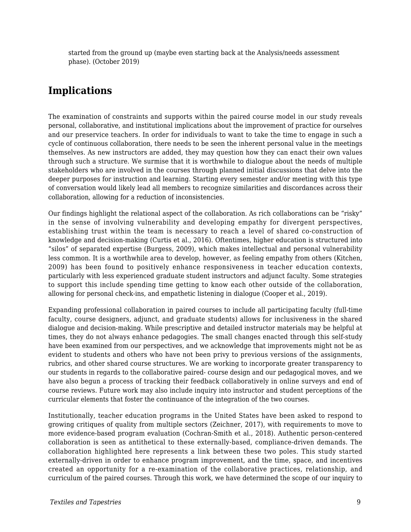started from the ground up (maybe even starting back at the Analysis/needs assessment phase). (October 2019)

## **Implications**

The examination of constraints and supports within the paired course model in our study reveals personal, collaborative, and institutional implications about the improvement of practice for ourselves and our preservice teachers. In order for individuals to want to take the time to engage in such a cycle of continuous collaboration, there needs to be seen the inherent personal value in the meetings themselves. As new instructors are added, they may question how they can enact their own values through such a structure. We surmise that it is worthwhile to dialogue about the needs of multiple stakeholders who are involved in the courses through planned initial discussions that delve into the deeper purposes for instruction and learning. Starting every semester and/or meeting with this type of conversation would likely lead all members to recognize similarities and discordances across their collaboration, allowing for a reduction of inconsistencies.

Our findings highlight the relational aspect of the collaboration. As rich collaborations can be "risky" in the sense of involving vulnerability and developing empathy for divergent perspectives, establishing trust within the team is necessary to reach a level of shared co-construction of knowledge and decision-making (Curtis et al., 2016). Oftentimes, higher education is structured into "silos" of separated expertise (Burgess, 2009), which makes intellectual and personal vulnerability less common. It is a worthwhile area to develop, however, as feeling empathy from others (Kitchen, 2009) has been found to positively enhance responsiveness in teacher education contexts, particularly with less experienced graduate student instructors and adjunct faculty. Some strategies to support this include spending time getting to know each other outside of the collaboration, allowing for personal check-ins, and empathetic listening in dialogue (Cooper et al., 2019).

Expanding professional collaboration in paired courses to include all participating faculty (full-time faculty, course designers, adjunct, and graduate students) allows for inclusiveness in the shared dialogue and decision-making. While prescriptive and detailed instructor materials may be helpful at times, they do not always enhance pedagogies. The small changes enacted through this self-study have been examined from our perspectives, and we acknowledge that improvements might not be as evident to students and others who have not been privy to previous versions of the assignments, rubrics, and other shared course structures. We are working to incorporate greater transparency to our students in regards to the collaborative paired- course design and our pedagogical moves, and we have also begun a process of tracking their feedback collaboratively in online surveys and end of course reviews. Future work may also include inquiry into instructor and student perceptions of the curricular elements that foster the continuance of the integration of the two courses.

Institutionally, teacher education programs in the United States have been asked to respond to growing critiques of quality from multiple sectors (Zeichner, 2017), with requirements to move to more evidence-based program evaluation (Cochran-Smith et al., 2018). Authentic person-centered collaboration is seen as antithetical to these externally-based, compliance-driven demands. The collaboration highlighted here represents a link between these two poles. This study started externally-driven in order to enhance program improvement, and the time, space, and incentives created an opportunity for a re-examination of the collaborative practices, relationship, and curriculum of the paired courses. Through this work, we have determined the scope of our inquiry to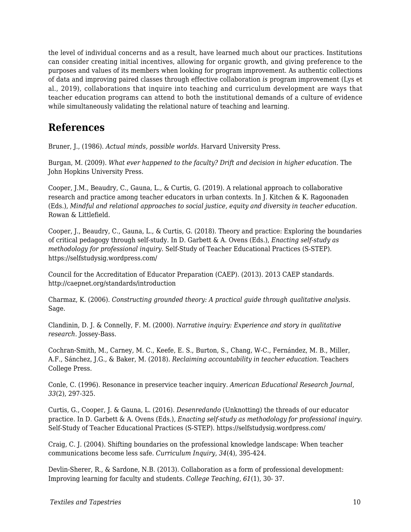the level of individual concerns and as a result, have learned much about our practices. Institutions can consider creating initial incentives, allowing for organic growth, and giving preference to the purposes and values of its members when looking for program improvement. As authentic collections of data and improving paired classes through effective collaboration *is* program improvement (Lys et al., 2019), collaborations that inquire into teaching and curriculum development are ways that teacher education programs can attend to both the institutional demands of a culture of evidence while simultaneously validating the relational nature of teaching and learning.

# **References**

Bruner, J., (1986). *Actual minds, possible worlds.* Harvard University Press.

Burgan, M. (2009). *What ever happened to the faculty? Drift and decision in higher education.* The John Hopkins University Press.

Cooper, J.M., Beaudry, C., Gauna, L., & Curtis, G. (2019). A relational approach to collaborative research and practice among teacher educators in urban contexts. In J. Kitchen & K. Ragoonaden (Eds.), *Mindful and relational approaches to social justice, equity and diversity in teacher education.* Rowan & Littlefield.

Cooper, J., Beaudry, C., Gauna, L., & Curtis, G. (2018). Theory and practice: Exploring the boundaries of critical pedagogy through self-study. In D. Garbett & A. Ovens (Eds.), *Enacting self-study as methodology for professional inquiry.* Self-Study of Teacher Educational Practices (S-STEP). https://selfstudysig.wordpress.com/

Council for the Accreditation of Educator Preparation (CAEP). (2013). 2013 CAEP standards. http://caepnet.org/standards/introduction

Charmaz, K. (2006). *Constructing grounded theory: A practical guide through qualitative analysis.* Sage.

Clandinin, D. J. & Connelly, F. M. (2000). *Narrative inquiry: Experience and story in qualitative research.* Jossey-Bass.

Cochran-Smith, M., Carney, M. C., Keefe, E. S., Burton, S., Chang, W-C., Fernández, M. B., Miller, A.F., Sánchez, J.G., & Baker, M. (2018). *Reclaiming accountability in teacher education*. Teachers College Press.

Conle, C. (1996). Resonance in preservice teacher inquiry. *American Educational Research Journal, 33*(2), 297-325.

Curtis, G., Cooper, J. & Gauna, L. (2016). *Desenredando* (Unknotting) the threads of our educator practice. In D. Garbett & A. Ovens (Eds.), *Enacting self-study as methodology for professional inquiry.* Self-Study of Teacher Educational Practices (S-STEP). https://selfstudysig.wordpress.com/

Craig, C. J. (2004). Shifting boundaries on the professional knowledge landscape: When teacher communications become less safe. *Curriculum Inquiry, 34*(4), 395-424.

Devlin-Sherer, R., & Sardone, N.B. (2013). Collaboration as a form of professional development: Improving learning for faculty and students. *College Teaching, 61*(1), 30- 37.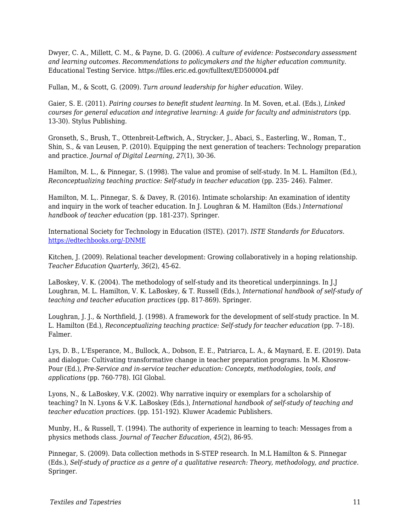Dwyer, C. A., Millett, C. M., & Payne, D. G. (2006). *A culture of evidence: Postsecondary assessment and learning outcomes. Recommendations to policymakers and the higher education community.* Educational Testing Service. https://files.eric.ed.gov/fulltext/ED500004.pdf

Fullan, M., & Scott, G. (2009). *Turn around leadership for higher education.* Wiley.

Gaier, S. E. (2011). *Pairing courses to benefit student learning.* In M. Soven, et.al. (Eds.), *Linked courses for general education and integrative learning: A guide for faculty and administrators* (pp. 13-30). Stylus Publishing.

Gronseth, S., Brush, T., Ottenbreit-Leftwich, A., Strycker, J., Abaci, S., Easterling, W., Roman, T., Shin, S., & van Leusen, P. (2010). Equipping the next generation of teachers: Technology preparation and practice. *Journal of Digital Learning, 27*(1), 30-36.

Hamilton, M. L., & Pinnegar, S. (1998). The value and promise of self-study. In M. L. Hamilton (Ed.), *Reconceptualizing teaching practice: Self-study in teacher education* (pp. 235- 246). Falmer.

Hamilton, M. L,. Pinnegar, S. & Davey, R. (2016). Intimate scholarship: An examination of identity and inquiry in the work of teacher education. In J. Loughran & M. Hamilton (Eds.) *International handbook of teacher education* (pp. 181-237). Springer.

International Society for Technology in Education (ISTE). (2017). *ISTE Standards for Educators.* [https://edtechbooks.org/-DNME](http://www.iste.org/standards/for-educators)

Kitchen, J. (2009). Relational teacher development: Growing collaboratively in a hoping relationship. *Teacher Education Quarterly, 36*(2), 45-62.

LaBoskey, V. K. (2004). The methodology of self-study and its theoretical underpinnings. In J.J Loughran, M. L. Hamilton, V. K. LaBoskey, & T. Russell (Eds.), *International handbook of self-study of teaching and teacher education practices* (pp. 817-869). Springer.

Loughran, J. J., & Northfield, J. (1998). A framework for the development of self-study practice. In M. L. Hamilton (Ed.), *Reconceptualizing teaching practice: Self-study for teacher education* (pp. 7-18). Falmer.

Lys, D. B., L'Esperance, M., Bullock, A., Dobson, E. E., Patriarca, L. A., & Maynard, E. E. (2019). Data and dialogue: Cultivating transformative change in teacher preparation programs. In M. Khosrow-Pour (Ed.), *Pre-Service and in-service teacher education: Concepts, methodologies, tools, and applications* (pp. 760-778). IGI Global.

Lyons, N., & LaBoskey, V.K. (2002). Why narrative inquiry or exemplars for a scholarship of teaching? In N. Lyons & V.K. LaBoskey (Eds.), *International handbook of self-study of teaching and teacher education practices.* (pp. 151-192). Kluwer Academic Publishers.

Munby, H., & Russell, T. (1994). The authority of experience in learning to teach: Messages from a physics methods class. *Journal of Teacher Education*, *45*(2), 86-95.

Pinnegar, S. (2009). Data collection methods in S-STEP research. In M.L Hamilton & S. Pinnegar (Eds.), *Self-study of practice as a genre of a qualitative research: Theory, methodology, and practice.* Springer.